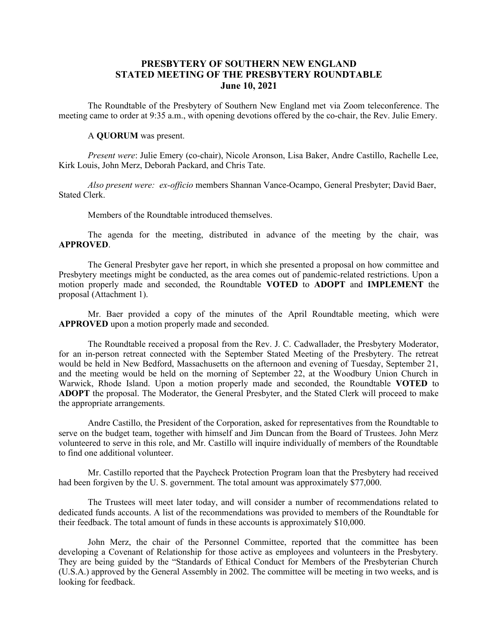#### **PRESBYTERY OF SOUTHERN NEW ENGLAND STATED MEETING OF THE PRESBYTERY ROUNDTABLE June 10, 2021**

The Roundtable of the Presbytery of Southern New England met via Zoom teleconference. The meeting came to order at 9:35 a.m., with opening devotions offered by the co-chair, the Rev. Julie Emery.

#### A **QUORUM** was present.

*Present were*: Julie Emery (co-chair), Nicole Aronson, Lisa Baker, Andre Castillo, Rachelle Lee, Kirk Louis, John Merz, Deborah Packard, and Chris Tate.

*Also present were: ex-officio* members Shannan Vance-Ocampo, General Presbyter; David Baer, Stated Clerk.

Members of the Roundtable introduced themselves.

The agenda for the meeting, distributed in advance of the meeting by the chair, was **APPROVED**.

The General Presbyter gave her report, in which she presented a proposal on how committee and Presbytery meetings might be conducted, as the area comes out of pandemic-related restrictions. Upon a motion properly made and seconded, the Roundtable **VOTED** to **ADOPT** and **IMPLEMENT** the proposal (Attachment 1).

Mr. Baer provided a copy of the minutes of the April Roundtable meeting, which were **APPROVED** upon a motion properly made and seconded.

The Roundtable received a proposal from the Rev. J. C. Cadwallader, the Presbytery Moderator, for an in-person retreat connected with the September Stated Meeting of the Presbytery. The retreat would be held in New Bedford, Massachusetts on the afternoon and evening of Tuesday, September 21, and the meeting would be held on the morning of September 22, at the Woodbury Union Church in Warwick, Rhode Island. Upon a motion properly made and seconded, the Roundtable **VOTED** to **ADOPT** the proposal. The Moderator, the General Presbyter, and the Stated Clerk will proceed to make the appropriate arrangements.

Andre Castillo, the President of the Corporation, asked for representatives from the Roundtable to serve on the budget team, together with himself and Jim Duncan from the Board of Trustees. John Merz volunteered to serve in this role, and Mr. Castillo will inquire individually of members of the Roundtable to find one additional volunteer.

Mr. Castillo reported that the Paycheck Protection Program loan that the Presbytery had received had been forgiven by the U. S. government. The total amount was approximately \$77,000.

The Trustees will meet later today, and will consider a number of recommendations related to dedicated funds accounts. A list of the recommendations was provided to members of the Roundtable for their feedback. The total amount of funds in these accounts is approximately \$10,000.

John Merz, the chair of the Personnel Committee, reported that the committee has been developing a Covenant of Relationship for those active as employees and volunteers in the Presbytery. They are being guided by the "Standards of Ethical Conduct for Members of the Presbyterian Church (U.S.A.) approved by the General Assembly in 2002. The committee will be meeting in two weeks, and is looking for feedback.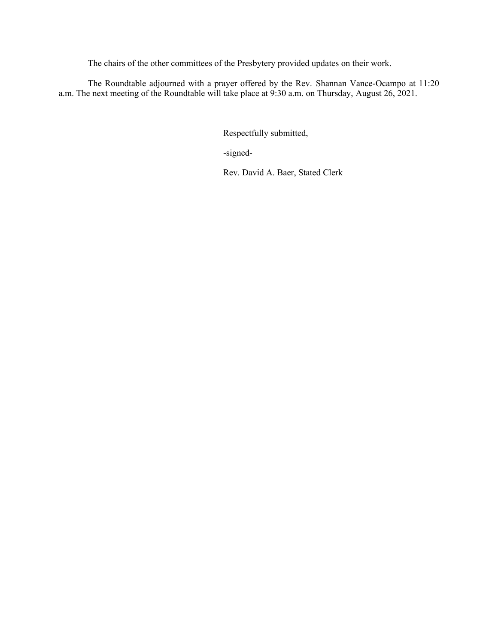The chairs of the other committees of the Presbytery provided updates on their work.

The Roundtable adjourned with a prayer offered by the Rev. Shannan Vance-Ocampo at 11:20 a.m. The next meeting of the Roundtable will take place at 9:30 a.m. on Thursday, August 26, 2021.

Respectfully submitted,

-signed-

Rev. David A. Baer, Stated Clerk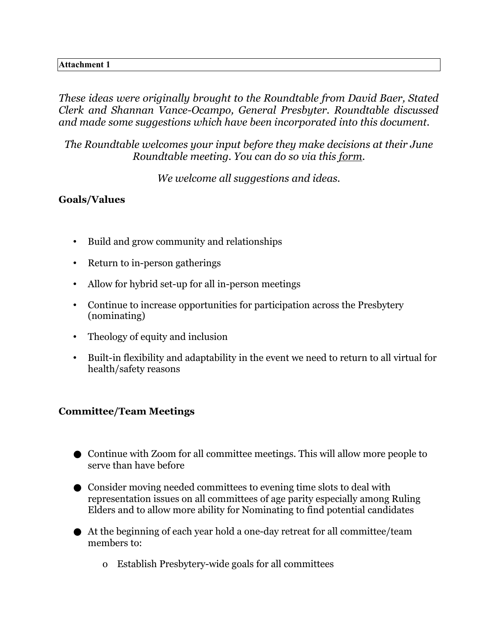## **Attachment 1**

*These ideas were originally brought to the Roundtable from David Baer, Stated Clerk and Shannan Vance-Ocampo, General Presbyter. Roundtable discussed and made some suggestions which have been incorporated into this document.* 

*The Roundtable welcomes your input before they make decisions at their June Roundtable meeting. You can do so via this [form](https://psne.breezechms.com/form/e643e1).* 

*We welcome all suggestions and ideas.* 

# **Goals/Values**

- Build and grow community and relationships
- Return to in-person gatherings
- Allow for hybrid set-up for all in-person meetings
- Continue to increase opportunities for participation across the Presbytery (nominating)
- Theology of equity and inclusion
- Built-in flexibility and adaptability in the event we need to return to all virtual for health/safety reasons

# **Committee/Team Meetings**

- Continue with Zoom for all committee meetings. This will allow more people to serve than have before
- Consider moving needed committees to evening time slots to deal with representation issues on all committees of age parity especially among Ruling Elders and to allow more ability for Nominating to find potential candidates
- At the beginning of each year hold a one-day retreat for all committee/team members to:
	- o Establish Presbytery-wide goals for all committees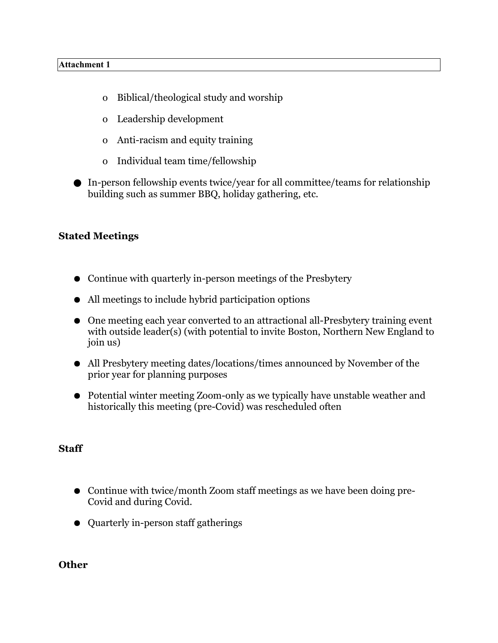- o Biblical/theological study and worship
- o Leadership development
- o Anti-racism and equity training
- o Individual team time/fellowship
- In-person fellowship events twice/year for all committee/teams for relationship building such as summer BBQ, holiday gathering, etc.

# **Stated Meetings**

- Continue with quarterly in-person meetings of the Presbytery
- All meetings to include hybrid participation options
- One meeting each year converted to an attractional all-Presbytery training event with outside leader(s) (with potential to invite Boston, Northern New England to join us)
- All Presbytery meeting dates/locations/times announced by November of the prior year for planning purposes
- Potential winter meeting Zoom-only as we typically have unstable weather and historically this meeting (pre-Covid) was rescheduled often

## **Staff**

- Continue with twice/month Zoom staff meetings as we have been doing pre-Covid and during Covid.
- Quarterly in-person staff gatherings

#### **Other**